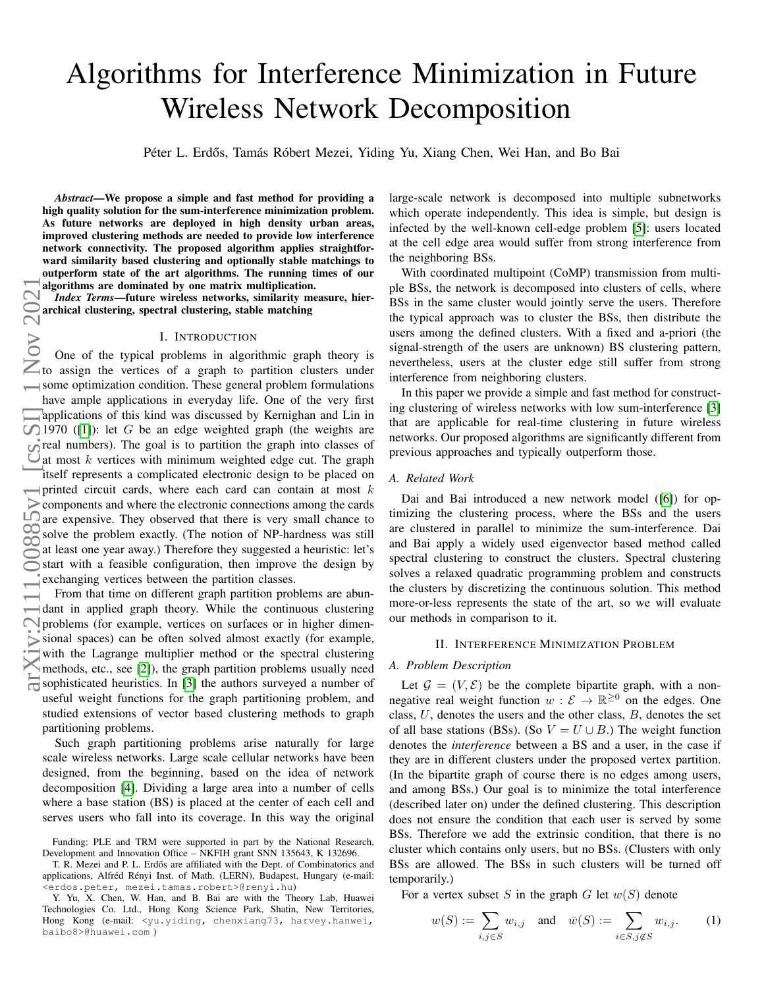# Algorithms for Interference Minimization in Future Wireless Network Decomposition

Péter L. Erdős, Tamás Róbert Mezei, Yiding Yu, Xiang Chen, Wei Han, and Bo Bai

*Abstract*—We propose a simple and fast method for providing a high quality solution for the sum-interference minimization problem. As future networks are deployed in high density urban areas, improved clustering methods are needed to provide low interference network connectivity. The proposed algorithm applies straightforward similarity based clustering and optionally stable matchings to outperform state of the art algorithms. The running times of our algorithms are dominated by one matrix multiplication.

*Index Terms*—future wireless networks, similarity measure, hierarchical clustering, spectral clustering, stable matching

#### I. INTRODUCTION

One of the typical problems in algorithmic graph theory is to assign the vertices of a graph to partition clusters under some optimization condition. These general problem formulations have ample applications in everyday life. One of the very first applications of this kind was discussed by Kernighan and Lin in 1970 ([\[1\]](#page-6-0)): let G be an edge weighted graph (the weights are  $\epsilon$  real numbers). The goal is to partition the graph into classes of  $\overline{Q}$  at most k vertices with minimum weighted edge cut. The graph itself represents a complicated electronic design to be placed on printed circuit cards, where each card can contain at most  $k$ components and where the electronic connections among the cards are expensive. They observed that there is very small chance to solve the problem exactly. (The notion of NP-hardness was still  $\infty$  at least one year eyes.) Therefore they expressed a heyritie; let's  $\leq$  at least one year away.) Therefore they suggested a heuristic: let's Start with a feasible configuration, then improve the design by exchanging vertices between the partition classes.

From that time on different graph partition problems are abun- $\rightarrow$  dant in applied graph theory. While the continuous clustering problems (for example, vertices on surfaces or in higher dimensional spaces) can be often solved almost exactly (for example, with the Lagrange multiplier method or the spectral clustering methods, etc., see [\[2\]](#page-6-1)), the graph partition problems usually need  $\overline{\mathbb{S}}$  sophisticated heuristics. In [\[3\]](#page-6-2) the authors surveyed a number of useful weight functions for the graph partitioning problem, and studied extensions of vector based clustering methods to graph partitioning problems.

Such graph partitioning problems arise naturally for large scale wireless networks. Large scale cellular networks have been designed, from the beginning, based on the idea of network decomposition [\[4\]](#page-6-3). Dividing a large area into a number of cells where a base station (BS) is placed at the center of each cell and serves users who fall into its coverage. In this way the original large-scale network is decomposed into multiple subnetworks which operate independently. This idea is simple, but design is infected by the well-known cell-edge problem [\[5\]](#page-6-4): users located at the cell edge area would suffer from strong interference from the neighboring BSs.

With coordinated multipoint (CoMP) transmission from multiple BSs, the network is decomposed into clusters of cells, where BSs in the same cluster would jointly serve the users. Therefore the typical approach was to cluster the BSs, then distribute the users among the defined clusters. With a fixed and a-priori (the signal-strength of the users are unknown) BS clustering pattern, nevertheless, users at the cluster edge still suffer from strong interference from neighboring clusters.

In this paper we provide a simple and fast method for constructing clustering of wireless networks with low sum-interference [\[3\]](#page-6-2) that are applicable for real-time clustering in future wireless networks. Our proposed algorithms are significantly different from previous approaches and typically outperform those.

#### *A. Related Work*

Dai and Bai introduced a new network model ([\[6\]](#page-6-5)) for optimizing the clustering process, where the BSs and the users are clustered in parallel to minimize the sum-interference. Dai and Bai apply a widely used eigenvector based method called spectral clustering to construct the clusters. Spectral clustering solves a relaxed quadratic programming problem and constructs the clusters by discretizing the continuous solution. This method more-or-less represents the state of the art, so we will evaluate our methods in comparison to it.

### II. INTERFERENCE MINIMIZATION PROBLEM

## *A. Problem Description*

Let  $\mathcal{G} = (V, \mathcal{E})$  be the complete bipartite graph, with a nonnegative real weight function  $w : \mathcal{E} \to \mathbb{R}^{\geq 0}$  on the edges. One class,  $U$ , denotes the users and the other class,  $B$ , denotes the set of all base stations (BSs). (So  $V = U \cup B$ .) The weight function denotes the *interference* between a BS and a user, in the case if they are in different clusters under the proposed vertex partition. (In the bipartite graph of course there is no edges among users, and among BSs.) Our goal is to minimize the total interference (described later on) under the defined clustering. This description does not ensure the condition that each user is served by some BSs. Therefore we add the extrinsic condition, that there is no cluster which contains only users, but no BSs. (Clusters with only BSs are allowed. The BSs in such clusters will be turned off temporarily.)

For a vertex subset S in the graph G let  $w(S)$  denote

$$
w(S) := \sum_{i,j \in S} w_{i,j}
$$
 and  $\bar{w}(S) := \sum_{i \in S, j \notin S} w_{i,j}.$  (1)

Funding: PLE and TRM were supported in part by the National Research, Development and Innovation Office – NKFIH grant SNN 135643, K 132696.

T. R. Mezei and P. L. Erdős are affiliated with the Dept. of Combinatorics and applications, Alfréd Rényi Inst. of Math. (LERN), Budapest, Hungary (e-mail: <erdos.peter, mezei.tamas.robert>@renyi.hu)

Y. Yu, X. Chen, W. Han, and B. Bai are with the Theory Lab, Huawei Technologies Co. Ltd., Hong Kong Science Park, Shatin, New Territories, Hong Kong (e-mail: <yu.yiding, chenxiang73, harvey.hanwei, baibo8>@huawei.com )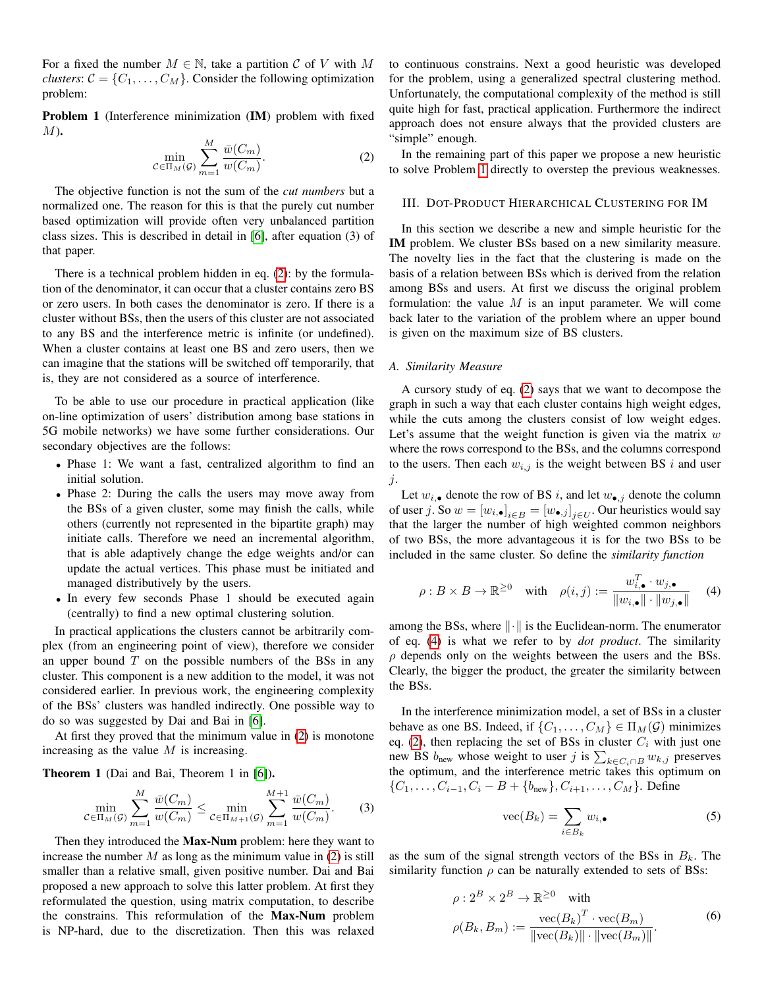For a fixed the number  $M \in \mathbb{N}$ , take a partition C of V with M *clusters*:  $C = \{C_1, \ldots, C_M\}$ . Consider the following optimization problem:

<span id="page-1-1"></span>Problem 1 (Interference minimization (IM) problem with fixed  $M$ ).

<span id="page-1-0"></span>
$$
\min_{\mathcal{C} \in \Pi_M(\mathcal{G})} \sum_{m=1}^M \frac{\bar{w}(C_m)}{w(C_m)}.
$$
\n(2)

The objective function is not the sum of the *cut numbers* but a normalized one. The reason for this is that the purely cut number based optimization will provide often very unbalanced partition class sizes. This is described in detail in [\[6\]](#page-6-5), after equation (3) of that paper.

There is a technical problem hidden in eq. [\(2\)](#page-1-0): by the formulation of the denominator, it can occur that a cluster contains zero BS or zero users. In both cases the denominator is zero. If there is a cluster without BSs, then the users of this cluster are not associated to any BS and the interference metric is infinite (or undefined). When a cluster contains at least one BS and zero users, then we can imagine that the stations will be switched off temporarily, that is, they are not considered as a source of interference.

To be able to use our procedure in practical application (like on-line optimization of users' distribution among base stations in 5G mobile networks) we have some further considerations. Our secondary objectives are the follows:

- Phase 1: We want a fast, centralized algorithm to find an initial solution.
- Phase 2: During the calls the users may move away from the BSs of a given cluster, some may finish the calls, while others (currently not represented in the bipartite graph) may initiate calls. Therefore we need an incremental algorithm, that is able adaptively change the edge weights and/or can update the actual vertices. This phase must be initiated and managed distributively by the users.
- In every few seconds Phase 1 should be executed again (centrally) to find a new optimal clustering solution.

In practical applications the clusters cannot be arbitrarily complex (from an engineering point of view), therefore we consider an upper bound  $T$  on the possible numbers of the BSs in any cluster. This component is a new addition to the model, it was not considered earlier. In previous work, the engineering complexity of the BSs' clusters was handled indirectly. One possible way to do so was suggested by Dai and Bai in [\[6\]](#page-6-5).

At first they proved that the minimum value in [\(2\)](#page-1-0) is monotone increasing as the value  $M$  is increasing.

Theorem 1 (Dai and Bai, Theorem 1 in [\[6\]](#page-6-5)).

$$
\min_{C \in \Pi_M(G)} \sum_{m=1}^M \frac{\bar{w}(C_m)}{w(C_m)} \le \min_{C \in \Pi_{M+1}(G)} \sum_{m=1}^{M+1} \frac{\bar{w}(C_m)}{w(C_m)}.
$$
 (3)

Then they introduced the Max-Num problem: here they want to increase the number  $M$  as long as the minimum value in [\(2\)](#page-1-0) is still smaller than a relative small, given positive number. Dai and Bai proposed a new approach to solve this latter problem. At first they reformulated the question, using matrix computation, to describe the constrains. This reformulation of the Max-Num problem is NP-hard, due to the discretization. Then this was relaxed to continuous constrains. Next a good heuristic was developed for the problem, using a generalized spectral clustering method. Unfortunately, the computational complexity of the method is still quite high for fast, practical application. Furthermore the indirect approach does not ensure always that the provided clusters are "simple" enough.

In the remaining part of this paper we propose a new heuristic to solve Problem [1](#page-1-1) directly to overstep the previous weaknesses.

### III. DOT-PRODUCT HIERARCHICAL CLUSTERING FOR IM

In this section we describe a new and simple heuristic for the IM problem. We cluster BSs based on a new similarity measure. The novelty lies in the fact that the clustering is made on the basis of a relation between BSs which is derived from the relation among BSs and users. At first we discuss the original problem formulation: the value  $M$  is an input parameter. We will come back later to the variation of the problem where an upper bound is given on the maximum size of BS clusters.

#### *A. Similarity Measure*

A cursory study of eq. [\(2\)](#page-1-0) says that we want to decompose the graph in such a way that each cluster contains high weight edges, while the cuts among the clusters consist of low weight edges. Let's assume that the weight function is given via the matrix  $w$ where the rows correspond to the BSs, and the columns correspond to the users. Then each  $w_{i,j}$  is the weight between BS i and user  $j$ .

Let  $w_{i, \bullet}$  denote the row of BS i, and let  $w_{\bullet, j}$  denote the column of user j. So  $w = [w_{i, \bullet}]_{i \in B} = [w_{\bullet, j}]_{j \in U}$ . Our heuristics would say that the larger the number of high weighted common neighbors of two BSs, the more advantageous it is for the two BSs to be included in the same cluster. So define the *similarity function*

<span id="page-1-2"></span>
$$
\rho: B \times B \to \mathbb{R}^{\geq 0} \quad \text{with} \quad \rho(i,j) := \frac{w_{i,\bullet}^T \cdot w_{j,\bullet}}{\|w_{i,\bullet}\| \cdot \|w_{j,\bullet}\|} \tag{4}
$$

among the BSs, where  $\|\cdot\|$  is the Euclidean-norm. The enumerator of eq. [\(4\)](#page-1-2) is what we refer to by *dot product*. The similarity  $\rho$  depends only on the weights between the users and the BSs. Clearly, the bigger the product, the greater the similarity between the BSs.

In the interference minimization model, a set of BSs in a cluster behave as one BS. Indeed, if  $\{C_1, \ldots, C_M\} \in \Pi_M(\mathcal{G})$  minimizes eq. [\(2\)](#page-1-0), then replacing the set of BSs in cluster  $C_i$  with just one new BS  $b_{\text{new}}$  whose weight to user j is  $\sum_{k \in C_i \cap B} w_{k,j}$  preserves the optimum, and the interference metric takes this optimum on  ${C_1, \ldots, C_{i-1}, C_i - B + \{b_{\text{new}}\}, C_{i+1}, \ldots, C_M\}$ . Define

$$
\text{vec}(B_k) = \sum_{i \in B_k} w_{i,\bullet} \tag{5}
$$

<span id="page-1-3"></span>as the sum of the signal strength vectors of the BSs in  $B_k$ . The similarity function  $\rho$  can be naturally extended to sets of BSs:

$$
\rho: 2^{B} \times 2^{B} \to \mathbb{R}^{\geq 0} \quad \text{with}
$$

$$
\rho(B_k, B_m) := \frac{\text{vec}(B_k)^T \cdot \text{vec}(B_m)}{\|\text{vec}(B_k)\| \cdot \|\text{vec}(B_m)\|}.
$$
(6)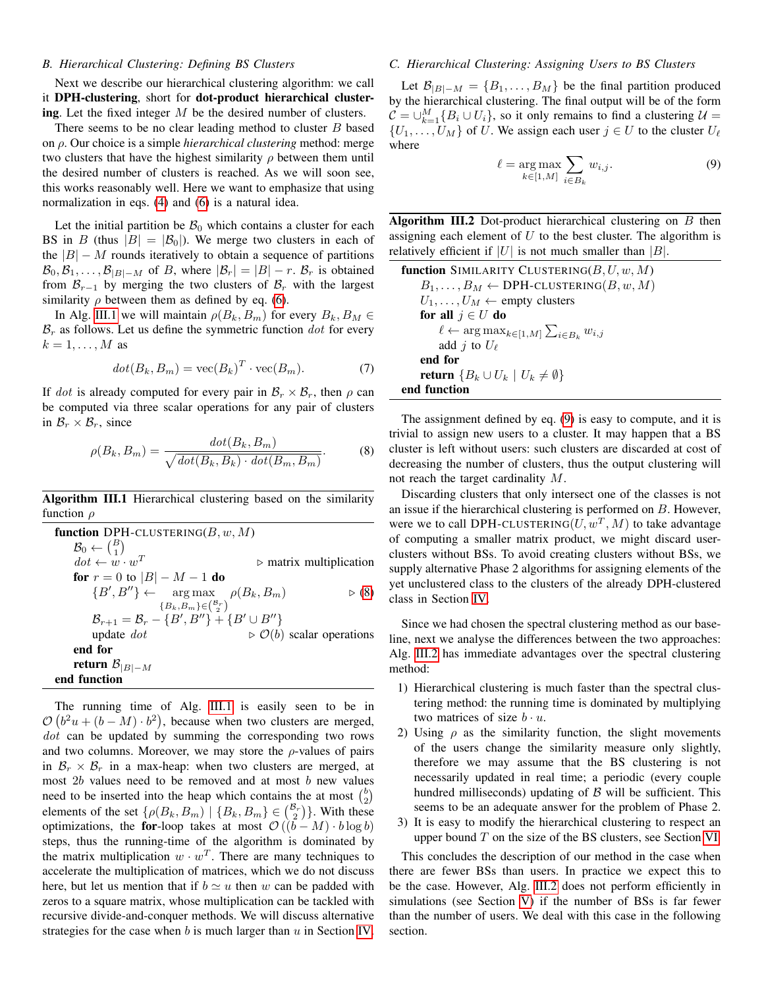#### *B. Hierarchical Clustering: Defining BS Clusters*

Next we describe our hierarchical clustering algorithm: we call it DPH-clustering, short for dot-product hierarchical clustering. Let the fixed integer  $M$  be the desired number of clusters.

There seems to be no clear leading method to cluster B based on ρ. Our choice is a simple *hierarchical clustering* method: merge two clusters that have the highest similarity  $\rho$  between them until the desired number of clusters is reached. As we will soon see, this works reasonably well. Here we want to emphasize that using normalization in eqs. [\(4\)](#page-1-2) and [\(6\)](#page-1-3) is a natural idea.

Let the initial partition be  $\mathcal{B}_0$  which contains a cluster for each BS in B (thus  $|B| = |\mathcal{B}_0|$ ). We merge two clusters in each of the  $|B| - M$  rounds iteratively to obtain a sequence of partitions  $\mathcal{B}_0, \mathcal{B}_1, \ldots, \mathcal{B}_{|B|-M}$  of B, where  $|\mathcal{B}_r| = |B| - r$ .  $\mathcal{B}_r$  is obtained from  $\mathcal{B}_{r-1}$  by merging the two clusters of  $\mathcal{B}_r$  with the largest similarity  $\rho$  between them as defined by eq. [\(6\)](#page-1-3).

In Alg. [III.1](#page-2-0) we will maintain  $\rho(B_k, B_m)$  for every  $B_k, B_M \in$  $\mathcal{B}_r$  as follows. Let us define the symmetric function dot for every  $k = 1, \ldots, M$  as

$$
dot(B_k, B_m) = \text{vec}(B_k)^T \cdot \text{vec}(B_m). \tag{7}
$$

If dot is already computed for every pair in  $\mathcal{B}_r \times \mathcal{B}_r$ , then  $\rho$  can be computed via three scalar operations for any pair of clusters in  $\mathcal{B}_r \times \mathcal{B}_r$ , since

$$
\rho(B_k, B_m) = \frac{dot(B_k, B_m)}{\sqrt{dot(B_k, B_k) \cdot dot(B_m, B_m)}}.
$$
\n(8)

<span id="page-2-0"></span>Algorithm III.1 Hierarchical clustering based on the similarity function  $\rho$ 

| function DPH-CLUSTERING( $B, w, M$ )                                |                                                   |
|---------------------------------------------------------------------|---------------------------------------------------|
| $\mathcal{B}_0 \leftarrow \binom{B}{1}$                             |                                                   |
| $dot \leftarrow w \cdot w^T$                                        | $\triangleright$ matrix multiplication            |
| <b>for</b> $r = 0$ to $ B  - M - 1$ <b>do</b>                       |                                                   |
| ${B', B''\} \leftarrow \arg \max \rho(B_k, B_m)$                    | $\triangleright$ (8)                              |
| ${B_k, B_m} \in (\frac{\mathcal{B}_r}{2})$                          |                                                   |
| $\mathcal{B}_{r+1} = \mathcal{B}_r - \{B', B''\} + \{B' \cup B''\}$ |                                                   |
| update $dot$                                                        | $\triangleright \mathcal{O}(b)$ scalar operations |
| end for                                                             |                                                   |
| return $\mathcal{B}_{ B -M}$                                        |                                                   |
| end function                                                        |                                                   |

The running time of Alg. [III.1](#page-2-0) is easily seen to be in  $\mathcal{O}(b^2u + (b-M) \cdot b^2)$ , because when two clusters are merged, dot can be updated by summing the corresponding two rows and two columns. Moreover, we may store the  $\rho$ -values of pairs in  $\mathcal{B}_r \times \mathcal{B}_r$  in a max-heap: when two clusters are merged, at most  $2b$  values need to be removed and at most  $b$  new values need to be inserted into the heap which contains the at most  $\binom{b}{2}$ elements of the set  $\{ \rho(B_k, B_m) \mid \{B_k, B_m\} \in \binom{\mathcal{B}_r}{2} \}$ . With these optimizations, the for-loop takes at most  $\mathcal{O}((\bar{b} - M) \cdot b \log b)$ steps, thus the running-time of the algorithm is dominated by the matrix multiplication  $w \cdot w^T$ . There are many techniques to accelerate the multiplication of matrices, which we do not discuss here, but let us mention that if  $b \simeq u$  then w can be padded with zeros to a square matrix, whose multiplication can be tackled with recursive divide-and-conquer methods. We will discuss alternative strategies for the case when  $b$  is much larger than  $u$  in Section [IV.](#page-3-0)

#### *C. Hierarchical Clustering: Assigning Users to BS Clusters*

Let  $\mathcal{B}_{|B|-M} = \{B_1, \ldots, B_M\}$  be the final partition produced by the hierarchical clustering. The final output will be of the form  $\mathcal{C} = \bigcup_{k=1}^M \{B_i \cup U_i\}$ , so it only remains to find a clustering  $\mathcal{U} =$  $\{U_1, \ldots, U_M\}$  of U. We assign each user  $j \in U$  to the cluster  $U_\ell$ where

<span id="page-2-2"></span>
$$
\ell = \underset{k \in [1,M]}{\arg \max} \sum_{i \in B_k} w_{i,j}.
$$
 (9)

<span id="page-2-3"></span>Algorithm III.2 Dot-product hierarchical clustering on  $B$  then assigning each element of  $U$  to the best cluster. The algorithm is relatively efficient if  $|U|$  is not much smaller than  $|B|$ .

function SIMILARITY CLUSTERING( $B, U, w, M$ )  $B_1, \ldots, B_M \leftarrow \text{DPH-CLUSTERING}(B, w, M)$  $U_1, \ldots, U_M \leftarrow$  empty clusters for all  $j \in U$  do  $\ell \leftarrow \arg \max_{k \in [1,M]} \sum_{i \in B_k} w_{i,j}$ add *j* to  $U_{\ell}$ end for return  ${B_k \cup U_k | U_k \neq \emptyset}$ end function

<span id="page-2-1"></span>The assignment defined by eq. [\(9\)](#page-2-2) is easy to compute, and it is trivial to assign new users to a cluster. It may happen that a BS cluster is left without users: such clusters are discarded at cost of decreasing the number of clusters, thus the output clustering will not reach the target cardinality M.

Discarding clusters that only intersect one of the classes is not an issue if the hierarchical clustering is performed on B. However, were we to call DPH-CLUSTERING  $(U, w^T, M)$  to take advantage of computing a smaller matrix product, we might discard userclusters without BSs. To avoid creating clusters without BSs, we supply alternative Phase 2 algorithms for assigning elements of the yet unclustered class to the clusters of the already DPH-clustered class in Section [IV.](#page-3-0)

Since we had chosen the spectral clustering method as our baseline, next we analyse the differences between the two approaches: Alg. [III.2](#page-2-3) has immediate advantages over the spectral clustering method:

- 1) Hierarchical clustering is much faster than the spectral clustering method: the running time is dominated by multiplying two matrices of size  $b \cdot u$ .
- 2) Using  $\rho$  as the similarity function, the slight movements of the users change the similarity measure only slightly, therefore we may assume that the BS clustering is not necessarily updated in real time; a periodic (every couple hundred milliseconds) updating of  $\beta$  will be sufficient. This seems to be an adequate answer for the problem of Phase 2.
- 3) It is easy to modify the hierarchical clustering to respect an upper bound  $T$  on the size of the BS clusters, see Section [VI.](#page-4-0)

This concludes the description of our method in the case when there are fewer BSs than users. In practice we expect this to be the case. However, Alg. [III.2](#page-2-3) does not perform efficiently in simulations (see Section [V\)](#page-4-1) if the number of BSs is far fewer than the number of users. We deal with this case in the following section.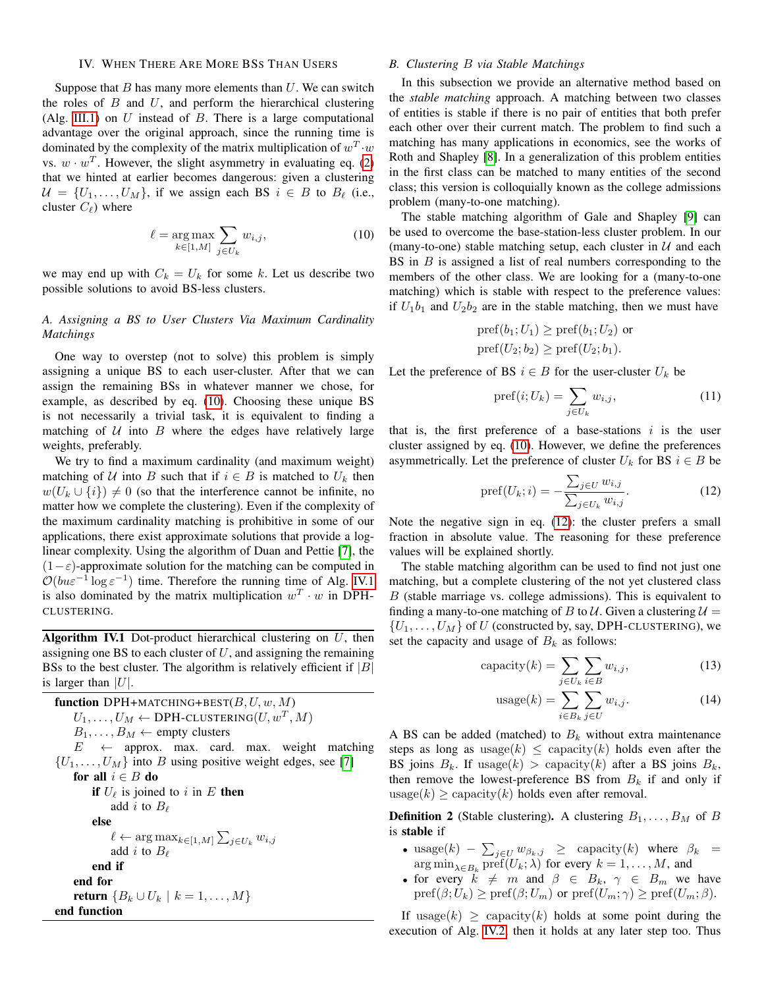#### IV. WHEN THERE ARE MORE BSS THAN USERS

<span id="page-3-0"></span>Suppose that  $B$  has many more elements than  $U$ . We can switch the roles of  $B$  and  $U$ , and perform the hierarchical clustering (Alg. [III.1\)](#page-2-0) on  $U$  instead of  $B$ . There is a large computational advantage over the original approach, since the running time is dominated by the complexity of the matrix multiplication of  $w^T \cdot w$ vs.  $w \cdot w^T$ . However, the slight asymmetry in evaluating eq. [\(2\)](#page-1-0) that we hinted at earlier becomes dangerous: given a clustering  $U = \{U_1, \ldots, U_M\}$ , if we assign each BS  $i \in B$  to  $B_\ell$  (i.e., cluster  $C_{\ell}$ ) where

<span id="page-3-1"></span>
$$
\ell = \underset{k \in [1,M]}{\arg \max} \sum_{j \in U_k} w_{i,j},\tag{10}
$$

we may end up with  $C_k = U_k$  for some k. Let us describe two possible solutions to avoid BS-less clusters.

# *A. Assigning a BS to User Clusters Via Maximum Cardinality Matchings*

One way to overstep (not to solve) this problem is simply assigning a unique BS to each user-cluster. After that we can assign the remaining BSs in whatever manner we chose, for example, as described by eq. [\(10\)](#page-3-1). Choosing these unique BS is not necessarily a trivial task, it is equivalent to finding a matching of  $U$  into  $B$  where the edges have relatively large weights, preferably.

We try to find a maximum cardinality (and maximum weight) matching of U into B such that if  $i \in B$  is matched to  $U_k$  then  $w(U_k \cup \{i\}) \neq 0$  (so that the interference cannot be infinite, no matter how we complete the clustering). Even if the complexity of the maximum cardinality matching is prohibitive in some of our applications, there exist approximate solutions that provide a loglinear complexity. Using the algorithm of Duan and Pettie [\[7\]](#page-6-6), the  $(1-\varepsilon)$ -approximate solution for the matching can be computed in  $\mathcal{O}(b u \varepsilon^{-1} \log \varepsilon^{-1})$  time. Therefore the running time of Alg. [IV.1](#page-3-2) is also dominated by the matrix multiplication  $w^T \cdot w$  in DPH-CLUSTERING.

<span id="page-3-2"></span>Algorithm IV.1 Dot-product hierarchical clustering on  $U$ , then assigning one BS to each cluster of  $U$ , and assigning the remaining BSs to the best cluster. The algorithm is relatively efficient if  $|B|$ is larger than  $|U|$ .

**function** DPH+MATCHING+BEST(*B*, *U*, *w*, *M*)  
\n
$$
U_1, ..., U_M \leftarrow
$$
 DPH-CLUSTERING(*U*, *w*<sup>T</sup>, *M*)  
\n $B_1, ..., B_M \leftarrow$  empty clusters  
\n $E \leftarrow$  approx. max. card. max. weight matching  
\n $\{U_1, ..., U_M\}$  into *B* using positive weight edges, see [7]  
\n**for all**  $i \in B$  **do**  
\n**if**  $U_\ell$  is joined to *i* in *E* **then**  
\nadd *i* to  $B_\ell$   
\n**else**  
\n $\ell \leftarrow$  arg max<sub>k\in[1,M]</sub>  $\sum_{j\in U_k} w_{i,j}$   
\nadd *i* to  $B_\ell$   
\n**end if**  
\n**end for**  
\n**return**  $\{B_k \cup U_k \mid k = 1, ..., M\}$   
\n**end function**

#### *B. Clustering* B *via Stable Matchings*

In this subsection we provide an alternative method based on the *stable matching* approach. A matching between two classes of entities is stable if there is no pair of entities that both prefer each other over their current match. The problem to find such a matching has many applications in economics, see the works of Roth and Shapley [\[8\]](#page-6-7). In a generalization of this problem entities in the first class can be matched to many entities of the second class; this version is colloquially known as the college admissions problem (many-to-one matching).

The stable matching algorithm of Gale and Shapley [\[9\]](#page-6-8) can be used to overcome the base-station-less cluster problem. In our (many-to-one) stable matching setup, each cluster in  $U$  and each BS in  $B$  is assigned a list of real numbers corresponding to the members of the other class. We are looking for a (many-to-one matching) which is stable with respect to the preference values: if  $U_1b_1$  and  $U_2b_2$  are in the stable matching, then we must have

$$
pref(b_1;U_1)\geq pref(b_1;U_2) \text{ or }
$$

$$
pref(U_2;b_2)\geq pref(U_2;b_1).
$$

Let the preference of BS  $i \in B$  for the user-cluster  $U_k$  be

$$
\text{pref}(i;U_k) = \sum_{j \in U_k} w_{i,j},\tag{11}
$$

that is, the first preference of a base-stations  $i$  is the user cluster assigned by eq. [\(10\)](#page-3-1). However, we define the preferences asymmetrically. Let the preference of cluster  $U_k$  for BS  $i \in B$  be

<span id="page-3-3"></span>
$$
\text{pref}(U_k; i) = -\frac{\sum_{j \in U} w_{i,j}}{\sum_{j \in U_k} w_{i,j}}.
$$
\n(12)

Note the negative sign in eq. [\(12\)](#page-3-3): the cluster prefers a small fraction in absolute value. The reasoning for these preference values will be explained shortly.

The stable matching algorithm can be used to find not just one matching, but a complete clustering of the not yet clustered class  $B$  (stable marriage vs. college admissions). This is equivalent to finding a many-to-one matching of B to U. Given a clustering  $U =$  $\{U_1, \ldots, U_M\}$  of U (constructed by, say, DPH-CLUSTERING), we set the capacity and usage of  $B_k$  as follows:

$$
capacity(k) = \sum_{j \in U_k} \sum_{i \in B} w_{i,j},
$$
 (13)

$$
usage(k) = \sum_{i \in B_k} \sum_{j \in U} w_{i,j}.
$$
 (14)

A BS can be added (matched) to  $B_k$  without extra maintenance steps as long as  $usage(k) \leq capacity(k)$  holds even after the BS joins  $B_k$ . If usage(k) > capacity(k) after a BS joins  $B_k$ , then remove the lowest-preference BS from  $B_k$  if and only if usage(k)  $\geq$  capacity(k) holds even after removal.

**Definition 2** (Stable clustering). A clustering  $B_1, \ldots, B_M$  of B is stable if

- usage $(k)$   $\sum_{j\in U} w_{\beta_k,j} \geq$  capacity $(k)$  where  $\beta_k$  =  $\arg \min_{\lambda \in B_k} \text{pref}(U_k; \lambda)$  for every  $k = 1, \dots, M$ , and
- for every  $k \neq m$  and  $\beta \in B_k$ ,  $\gamma \in B_m$  we have  $\text{pref}(\beta;U_k)\geq \text{pref}(\beta;U_m)$  or  $\text{pref}(U_m;\gamma)\geq \text{pref}(U_m;\beta).$

If usage(k)  $\geq$  capacity(k) holds at some point during the execution of Alg. [IV.2,](#page-4-2) then it holds at any later step too. Thus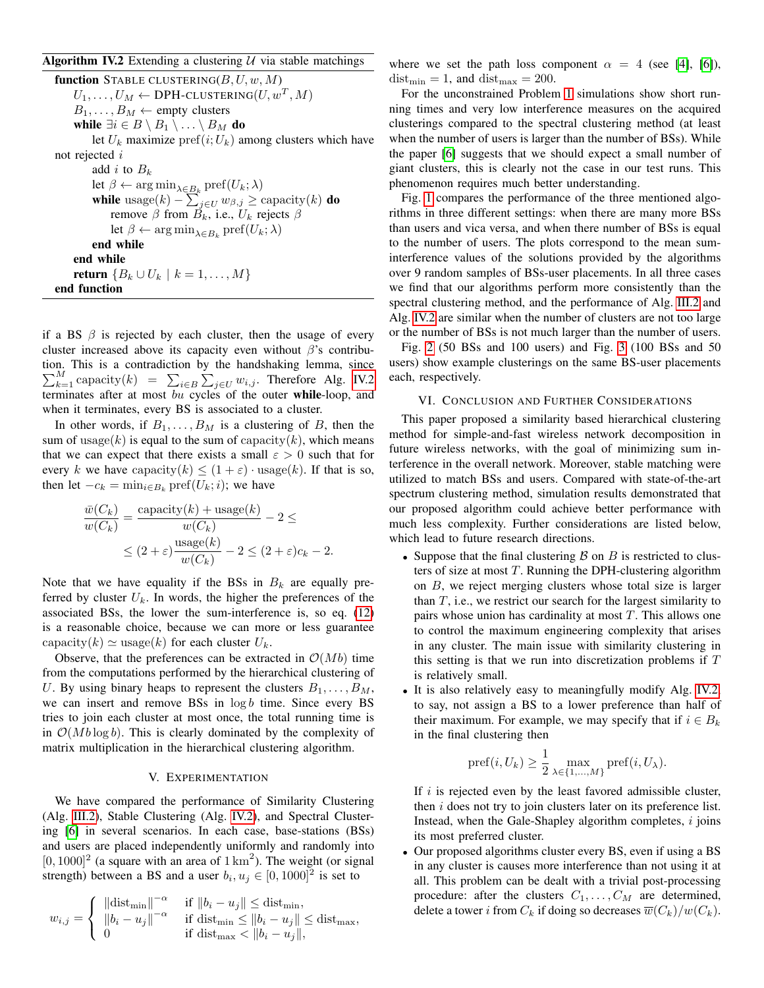# <span id="page-4-2"></span>Algorithm IV.2 Extending a clustering  $U$  via stable matchings

function STABLE CLUSTERING $(B, U, w, M)$  $U_1,\ldots,U_M \leftarrow \textsf{DPH-CLUSTERING}(U,w^T,M)$  $B_1, \ldots, B_M \leftarrow$  empty clusters while  $\exists i \in B \setminus B_1 \setminus \ldots \setminus B_M$  do let  $U_k$  maximize pref $(i;U_k)$  among clusters which have not rejected i add i to  $B_k$ let  $\beta \leftarrow \arg \min_{\lambda \in B_k} \text{pref}(U_k; \lambda)$ while usage $(k) - \sum_{j \in U} w_{\beta, j} \geq$  capacity $(k)$  do remove β from  $B_k$ , i.e.,  $U_k$  rejects β let  $\beta \leftarrow \arg \min_{\lambda \in B_k} \text{pref}(U_k; \lambda)$ end while end while **return**  ${B_k ∪ U_k | k = 1, ..., M}$ 

end function

if a BS  $\beta$  is rejected by each cluster, then the usage of every cluster increased above its capacity even without  $\beta$ 's contribution. This is a contradiction by the handshaking lemma, since  $\sum_{k=1}^{M}$  capacity $(k)$  =  $\sum_{i\in B} \sum_{j\in U} w_{i,j}$ . Therefore Alg. [IV.2](#page-4-2) terminates after at most bu cycles of the outer while-loop, and when it terminates, every BS is associated to a cluster.

In other words, if  $B_1, \ldots, B_M$  is a clustering of B, then the sum of usage(k) is equal to the sum of capacity(k), which means that we can expect that there exists a small  $\varepsilon > 0$  such that for every k we have capacity $(k) \leq (1 + \varepsilon) \cdot \text{usage}(k)$ . If that is so, then let  $-c_k = \min_{i \in B_k} \text{pref}(U_k; i)$ ; we have

$$
\frac{\bar{w}(C_k)}{w(C_k)} = \frac{\text{capacity}(k) + \text{usage}(k)}{w(C_k)} - 2 \le
$$
\n
$$
\le (2 + \varepsilon) \frac{\text{usage}(k)}{w(C_k)} - 2 \le (2 + \varepsilon)c_k - 2.
$$

Note that we have equality if the BSs in  $B_k$  are equally preferred by cluster  $U_k$ . In words, the higher the preferences of the associated BSs, the lower the sum-interference is, so eq. [\(12\)](#page-3-3) is a reasonable choice, because we can more or less guarantee capacity(k)  $\simeq$  usage(k) for each cluster  $U_k$ .

Observe, that the preferences can be extracted in  $\mathcal{O}(Mb)$  time from the computations performed by the hierarchical clustering of U. By using binary heaps to represent the clusters  $B_1, \ldots, B_M$ , we can insert and remove  $BSS$  in  $log b$  time. Since every  $BS$ tries to join each cluster at most once, the total running time is in  $O(Mb \log b)$ . This is clearly dominated by the complexity of matrix multiplication in the hierarchical clustering algorithm.

#### V. EXPERIMENTATION

<span id="page-4-1"></span>We have compared the performance of Similarity Clustering (Alg. [III.2\)](#page-2-3), Stable Clustering (Alg. [IV.2\)](#page-4-2), and Spectral Clustering [\[6\]](#page-6-5) in several scenarios. In each case, base-stations (BSs) and users are placed independently uniformly and randomly into  $[0, 1000]^2$  (a square with an area of  $1 \text{ km}^2$ ). The weight (or signal strength) between a BS and a user  $b_i, u_j \in [0, 1000]^2$  is set to

$$
w_{i,j} = \begin{cases} \|\text{dist}_{\min}\|^{-\alpha} & \text{if } \|b_i - u_j\| \leq \text{dist}_{\min}, \\ \|b_i - u_j\|^{-\alpha} & \text{if } \text{dist}_{\min} \leq \|b_i - u_j\| \leq \text{dist}_{\max}, \\ 0 & \text{if } \text{dist}_{\max} < \|b_i - u_j\|, \end{cases}
$$

where we set the path loss component  $\alpha = 4$  (see [\[4\]](#page-6-3), [\[6\]](#page-6-5)),  $dist_{\text{min}} = 1$ , and  $dist_{\text{max}} = 200$ .

For the unconstrained Problem [1](#page-1-1) simulations show short running times and very low interference measures on the acquired clusterings compared to the spectral clustering method (at least when the number of users is larger than the number of BSs). While the paper [\[6\]](#page-6-5) suggests that we should expect a small number of giant clusters, this is clearly not the case in our test runs. This phenomenon requires much better understanding.

Fig. [1](#page-5-0) compares the performance of the three mentioned algorithms in three different settings: when there are many more BSs than users and vica versa, and when there number of BSs is equal to the number of users. The plots correspond to the mean suminterference values of the solutions provided by the algorithms over 9 random samples of BSs-user placements. In all three cases we find that our algorithms perform more consistently than the spectral clustering method, and the performance of Alg. [III.2](#page-2-3) and Alg. [IV.2](#page-4-2) are similar when the number of clusters are not too large or the number of BSs is not much larger than the number of users.

Fig. [2](#page-5-1) (50 BSs and 100 users) and Fig. [3](#page-6-9) (100 BSs and 50 users) show example clusterings on the same BS-user placements each, respectively.

#### VI. CONCLUSION AND FURTHER CONSIDERATIONS

<span id="page-4-0"></span>This paper proposed a similarity based hierarchical clustering method for simple-and-fast wireless network decomposition in future wireless networks, with the goal of minimizing sum interference in the overall network. Moreover, stable matching were utilized to match BSs and users. Compared with state-of-the-art spectrum clustering method, simulation results demonstrated that our proposed algorithm could achieve better performance with much less complexity. Further considerations are listed below, which lead to future research directions.

- Suppose that the final clustering  $\beta$  on  $B$  is restricted to clusters of size at most  $T$ . Running the DPH-clustering algorithm on B, we reject merging clusters whose total size is larger than  $T$ , i.e., we restrict our search for the largest similarity to pairs whose union has cardinality at most  $T$ . This allows one to control the maximum engineering complexity that arises in any cluster. The main issue with similarity clustering in this setting is that we run into discretization problems if  $T$ is relatively small.
- It is also relatively easy to meaningfully modify Alg. [IV.2,](#page-4-2) to say, not assign a BS to a lower preference than half of their maximum. For example, we may specify that if  $i \in B_k$ in the final clustering then

$$
pref(i, U_k) \geq \frac{1}{2} \max_{\lambda \in \{1, ..., M\}} pref(i, U_\lambda).
$$

If  $i$  is rejected even by the least favored admissible cluster, then i does not try to join clusters later on its preference list. Instead, when the Gale-Shapley algorithm completes,  $i$  joins its most preferred cluster.

• Our proposed algorithms cluster every BS, even if using a BS in any cluster is causes more interference than not using it at all. This problem can be dealt with a trivial post-processing procedure: after the clusters  $C_1, \ldots, C_M$  are determined, delete a tower *i* from  $C_k$  if doing so decreases  $\overline{w}(C_k)/w(C_k)$ .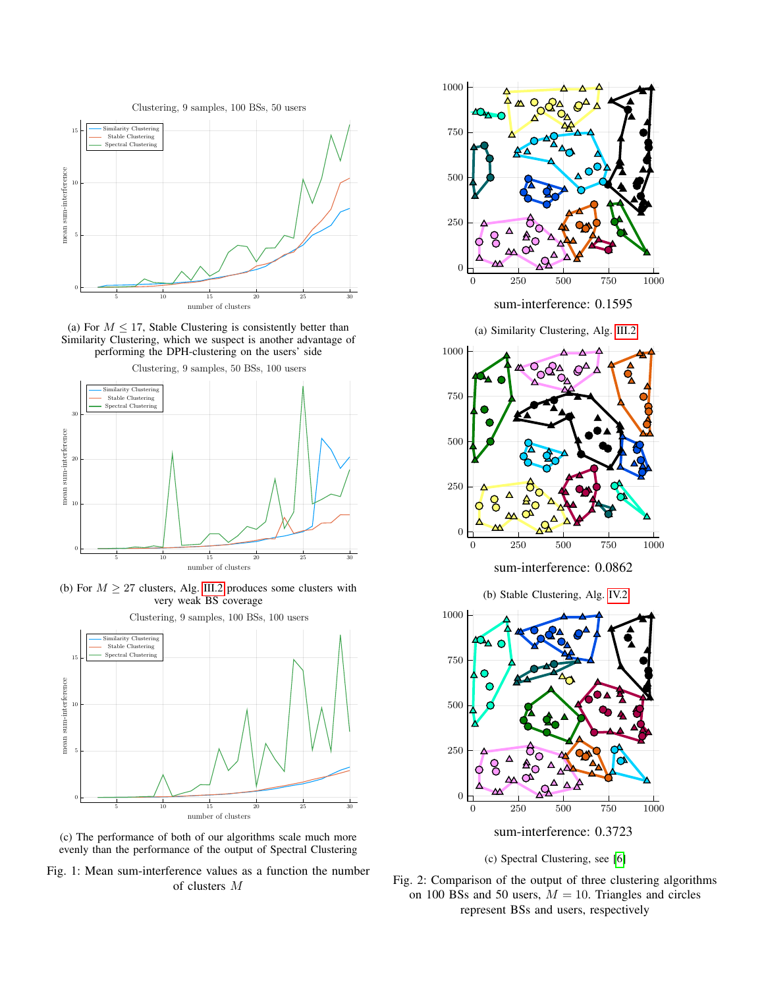<span id="page-5-0"></span>

(a) For  $M \leq 17$ , Stable Clustering is consistently better than Similarity Clustering, which we suspect is another advantage of performing the DPH-clustering on the users' side



(b) For  $M \geq 27$  clusters, Alg. [III.2](#page-2-3) produces some clusters with very weak BS coverage



(c) The performance of both of our algorithms scale much more evenly than the performance of the output of Spectral Clustering

Fig. 1: Mean sum-interference values as a function the number of clusters M

<span id="page-5-1"></span>

sum-interference: 0.1595





sum-interference: 0.0862

(b) Stable Clustering, Alg. [IV.2](#page-4-2)





Fig. 2: Comparison of the output of three clustering algorithms on 100 BSs and 50 users,  $M = 10$ . Triangles and circles represent BSs and users, respectively